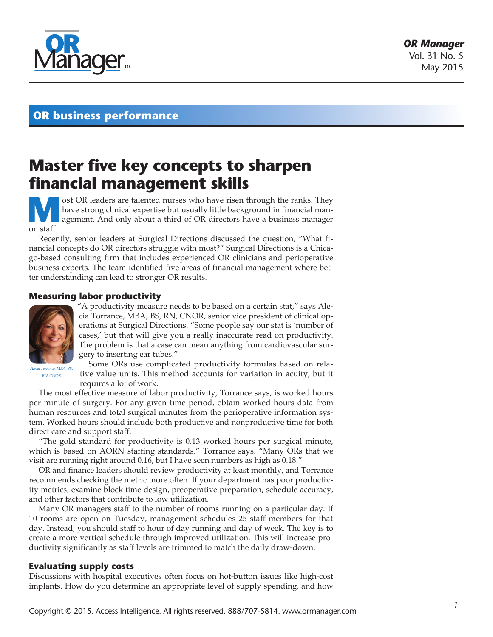

# **OR business performance**

# **Master five key concepts to sharpen financial management skills**

**M** ost OR leaders are talented nurses who have risen through the ranks. They have strong clinical expertise but usually little background in financial management. And only about a third of OR directors have a business man have strong clinical expertise but usually little background in financial manon staff.

Recently, senior leaders at Surgical Directions discussed the question, "What financial concepts do OR directors struggle with most?" Surgical Directions is a Chicago-based consulting firm that includes experienced OR clinicians and perioperative business experts. The team identified five areas of financial management where better understanding can lead to stronger OR results.

## **Measuring labor productivity**



"A productivity measure needs to be based on a certain stat," says Alecia Torrance, MBA, BS, RN, CNOR, senior vice president of clinical operations at Surgical Directions. "Some people say our stat is 'number of cases,' but that will give you a really inaccurate read on productivity. The problem is that a case can mean anything from cardiovascular surgery to inserting ear tubes."

*Alecia Torrance, MBA, BS, RN, CNOR*

Some ORs use complicated productivity formulas based on relative value units. This method accounts for variation in acuity, but it requires a lot of work.

The most effective measure of labor productivity, Torrance says, is worked hours per minute of surgery. For any given time period, obtain worked hours data from human resources and total surgical minutes from the perioperative information system. Worked hours should include both productive and nonproductive time for both direct care and support staff.

"The gold standard for productivity is 0.13 worked hours per surgical minute, which is based on AORN staffing standards," Torrance says. "Many ORs that we visit are running right around 0.16, but I have seen numbers as high as 0.18."

OR and finance leaders should review productivity at least monthly, and Torrance recommends checking the metric more often. If your department has poor productivity metrics, examine block time design, preoperative preparation, schedule accuracy, and other factors that contribute to low utilization.

Many OR managers staff to the number of rooms running on a particular day. If 10 rooms are open on Tuesday, management schedules 25 staff members for that day. Instead, you should staff to hour of day running and day of week. The key is to create a more vertical schedule through improved utilization. This will increase productivity significantly as staff levels are trimmed to match the daily draw-down.

## **Evaluating supply costs**

Discussions with hospital executives often focus on hot-button issues like high-cost implants. How do you determine an appropriate level of supply spending, and how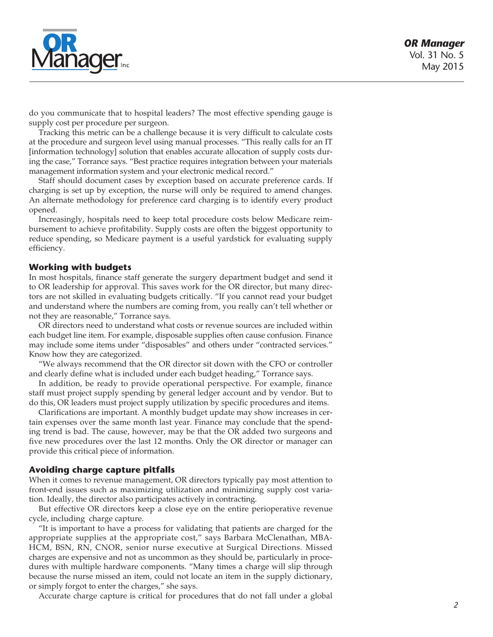

do you communicate that to hospital leaders? The most effective spending gauge is supply cost per procedure per surgeon.

Tracking this metric can be a challenge because it is very difficult to calculate costs at the procedure and surgeon level using manual processes. "This really calls for an IT [information technology] solution that enables accurate allocation of supply costs during the case," Torrance says. "Best practice requires integration between your materials management information system and your electronic medical record."

Staff should document cases by exception based on accurate preference cards. If charging is set up by exception, the nurse will only be required to amend changes. An alternate methodology for preference card charging is to identify every product opened.

Increasingly, hospitals need to keep total procedure costs below Medicare reimbursement to achieve profitability. Supply costs are often the biggest opportunity to reduce spending, so Medicare payment is a useful yardstick for evaluating supply efficiency.

#### **Working with budgets**

In most hospitals, finance staff generate the surgery department budget and send it to OR leadership for approval. This saves work for the OR director, but many directors are not skilled in evaluating budgets critically. "If you cannot read your budget and understand where the numbers are coming from, you really can't tell whether or not they are reasonable," Torrance says.

OR directors need to understand what costs or revenue sources are included within each budget line item. For example, disposable supplies often cause confusion. Finance may include some items under "disposables" and others under "contracted services." Know how they are categorized.

"We always recommend that the OR director sit down with the CFO or controller and clearly define what is included under each budget heading," Torrance says.

In addition, be ready to provide operational perspective. For example, finance staff must project supply spending by general ledger account and by vendor. But to do this, OR leaders must project supply utilization by specific procedures and items.

Clarifications are important. A monthly budget update may show increases in certain expenses over the same month last year. Finance may conclude that the spending trend is bad. The cause, however, may be that the OR added two surgeons and five new procedures over the last 12 months. Only the OR director or manager can provide this critical piece of information.

#### **Avoiding charge capture pitfalls**

When it comes to revenue management, OR directors typically pay most attention to front-end issues such as maximizing utilization and minimizing supply cost variation. Ideally, the director also participates actively in contracting.

But effective OR directors keep a close eye on the entire perioperative revenue cycle, including charge capture.

"It is important to have a process for validating that patients are charged for the appropriate supplies at the appropriate cost," says Barbara McClenathan, MBA-HCM, BSN, RN, CNOR, senior nurse executive at Surgical Directions. Missed charges are expensive and not as uncommon as they should be, particularly in procedures with multiple hardware components. "Many times a charge will slip through because the nurse missed an item, could not locate an item in the supply dictionary, or simply forgot to enter the charges," she says.

Accurate charge capture is critical for procedures that do not fall under a global